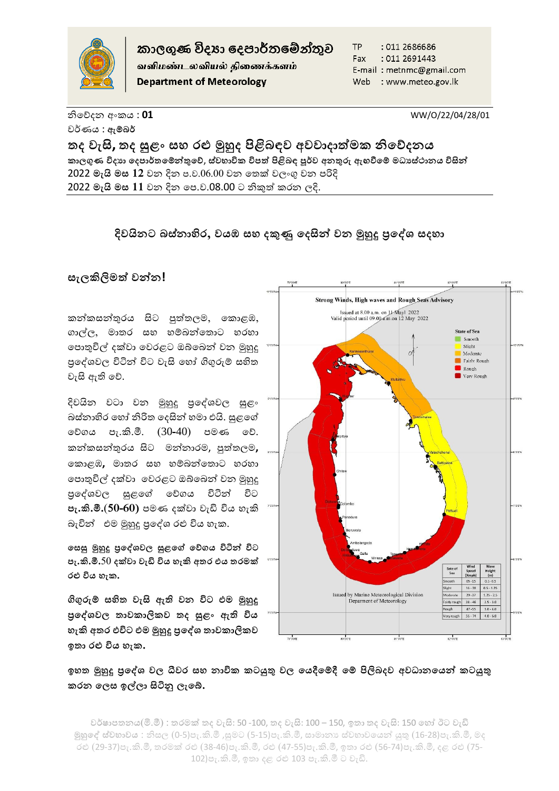

කාලගුණ විදහා දෙපාර්තමේන්තුව

வளிமண்டலவியல் திணைக்களம் **Department of Meteorology** 

**TP** : 011 2686686 Fax : 011 2691443 E-mail: metnmc@gmail.com Web : www.meteo.gov.lk

නිහේදන අංකය : **01** WW/O/22/04/28/01 වර්ණය : **ඇම්බර්**

**තද වැසි, තද සුළං සහ රළු මුහුද පිළිබඳව අවවාදාත්මක නිදේදනය කාලගුණ විදයා දදපාර්තදම්න්තුදේ**, **ස්වභාවික විපත් පිළිබඳ පූර්ව අනුරු ඇඟවීදම් මධ්යස්ථානය විසින්ත** 2022 **මැයි මස 12** වන දින ප.ව.06.00 වන හතක් වලංගු වන පරිදි 2022 **මැයි මස 11** වන දින හප.ව.08.00 ට නිකුත් කරන ලදි.

## **දිවයිනට බස්නාහිර, වයඹ සහ දකුණු දදසින්ත වන මුහුදු ප්රදේශ සදහා**

## **සැලකිලිමත් වන්තන!**

කන්කසන්තුරය සිට පුත්තලම, හකාළඹ, ගාල්ල, මාතර සහ හම්බන්තොට හරහා හපාතුවිල් දක්වා හවරළට ඔබ්හබන් වන මුහුදු පුදේශවල විටින් විට වැසි හෝ ගිගුරුම් සහිත වැසි ඇති හේ.

දිවයින වටා වන මුහුදු ප්රහේශවල සුළං බස්නාහිර හෝ නිරිත දෙසින් හමා එයි. සුළගේ හේගය පැ.කි.මී. (30**-**40) පමණ හේ. කන්කසන්තුරය සිට මන්නාරම, පුත්තලම**,**  නොළඹ, මාතර සහ හම්බන්තොට හරහා හපාතුවිල් දක්වා හවරළට ඔබ්හබන් වන මුහුදු ප්රහේශවල සුළහේ හේගය විටින් විට **පැ.කි.මී.**(**50-60)** පමණ දක්වා වැඩි විය ැකි බැවින් එම මුහුදු පුදේශ රළු විය හැක.

**දසසු මුහුදු ප්රදේශවල සුළදේ දේගය විටින්ත විට පැ.කි.මී.**50 **දක්වා වැඩි විය හැකි අතර එය තරමක් රළු විය හැක.**

**ගිගුරුම් සහිත වැසි ඇති වන විට එම මුහුදු ප්රදේශවල තාවකාලිකව තද සුළං ඇති විය හැකි අතර එවිට එම මුහුදු ප්රදේශ තාවකාලිකව ඉතා රළු විය හැක.**



## **ඉහත මුහුදු ප්රදේශ වල ධීවර සහ නාවික කටයුු වල දයදීදම්දී දම් පිලිබදව අවධ්ානදයන්ත කටයුු කරන දලස ඉල්ලා සිටිනු ලැදේ.**

වර්ෂාපතනය(මි.මී) : තරමක් තද වැසි: 50 -100, තද වැසි: 100 – 150, ඉතා තද වැසි: 150 හෝ ඊට වැඩි **මුහුදේ ස්වභාවය** : නිසල (0-5)පැ.කි.මී ,සුමට (5-15)පැ.කි.මී, සාමානය ස්වභාවහයන් යුතු (16-28)පැ.කි.මී, මද රළු (29-37)පැ.කි.මී, තරමක් රළු (38-46)පැ.කි.මී, රළු (47-55)පැ.කි.මී, ඉතා රළු (56-74)පැ.කි.මී, දළ රළු (75- 102)පැ.කි.මී, ඉතා දළ රළු 103 පැ.කි.මී ට වැඩි.